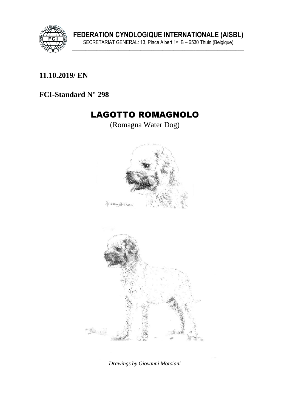

**FEDERATION CYNOLOGIQUE INTERNATIONALE (AISBL)** SECRETARIAT GENERAL: 13, Place Albert 1er B – 6530 Thuin (Belgique) **\_\_\_\_\_\_\_\_\_\_\_\_\_\_\_\_\_\_\_\_\_\_\_\_\_\_\_\_\_\_\_\_\_\_\_\_\_\_\_\_\_\_\_\_\_\_\_\_\_\_\_\_\_\_\_\_\_\_\_\_\_\_\_\_\_\_\_\_\_\_\_\_\_\_\_\_\_\_**

### **\_\_\_\_\_\_\_\_\_\_\_\_\_\_\_\_\_\_\_\_\_\_\_\_\_\_\_\_\_\_\_\_\_\_\_\_\_\_\_\_\_\_\_\_\_\_\_\_\_\_\_\_\_\_\_\_\_\_\_\_\_\_\_ 11.10.2019/ EN**

#### **FCI-Standard N° 298**

# LAGOTTO ROMAGNOLO

(Romagna Water Dog)





*Drawings by Giovanni Morsiani*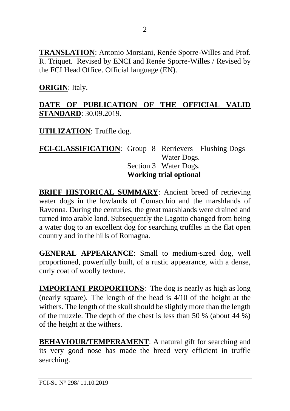**TRANSLATION**: Antonio Morsiani, Renée Sporre-Willes and Prof. R. Triquet. Revised by ENCI and Renée Sporre-Willes / Revised by the FCI Head Office. Official language (EN).

### **ORIGIN**: Italy.

### **DATE OF PUBLICATION OF THE OFFICIAL VALID STANDARD**: 30.09.2019.

**UTILIZATION**: Truffle dog.

**FCI-CLASSIFICATION**: Group 8 Retrievers – Flushing Dogs – Water Dogs. Section 3 Water Dogs. **Working trial optional**

**BRIEF HISTORICAL SUMMARY**: Ancient breed of retrieving water dogs in the lowlands of Comacchio and the marshlands of Ravenna. During the centuries, the great marshlands were drained and turned into arable land. Subsequently the Lagotto changed from being a water dog to an excellent dog for searching truffles in the flat open country and in the hills of Romagna.

**GENERAL APPEARANCE**: Small to medium-sized dog, well proportioned, powerfully built, of a rustic appearance, with a dense, curly coat of woolly texture.

**IMPORTANT PROPORTIONS**: The dog is nearly as high as long (nearly square). The length of the head is 4/10 of the height at the withers. The length of the skull should be slightly more than the length of the muzzle. The depth of the chest is less than 50 % (about 44 %) of the height at the withers.

**BEHAVIOUR/TEMPERAMENT:** A natural gift for searching and its very good nose has made the breed very efficient in truffle searching.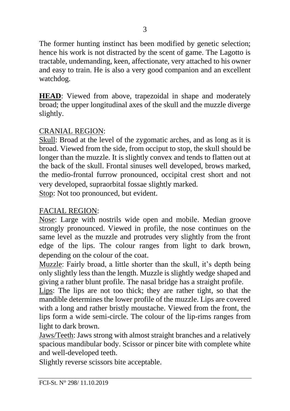The former hunting instinct has been modified by genetic selection; hence his work is not distracted by the scent of game. The Lagotto is tractable, undemanding, keen, affectionate, very attached to his owner and easy to train. He is also a very good companion and an excellent watchdog.

**HEAD**: Viewed from above, trapezoidal in shape and moderately broad; the upper longitudinal axes of the skull and the muzzle diverge slightly.

#### CRANIAL REGION:

Skull: Broad at the level of the zygomatic arches, and as long as it is broad. Viewed from the side, from occiput to stop, the skull should be longer than the muzzle. It is slightly convex and tends to flatten out at the back of the skull. Frontal sinuses well developed, brows marked, the medio-frontal furrow pronounced, occipital crest short and not very developed, supraorbital fossae slightly marked.

Stop: Not too pronounced, but evident.

## FACIAL REGION:

Nose: Large with nostrils wide open and mobile. Median groove strongly pronounced. Viewed in profile, the nose continues on the same level as the muzzle and protrudes very slightly from the front edge of the lips. The colour ranges from light to dark brown, depending on the colour of the coat.

Muzzle: Fairly broad, a little shorter than the skull, it's depth being only slightly less than the length. Muzzle is slightly wedge shaped and giving a rather blunt profile. The nasal bridge has a straight profile.

Lips: The lips are not too thick; they are rather tight, so that the mandible determines the lower profile of the muzzle. Lips are covered with a long and rather bristly moustache. Viewed from the front, the lips form a wide semi-circle. The colour of the lip-rims ranges from light to dark brown.

Jaws/Teeth: Jaws strong with almost straight branches and a relatively spacious mandibular body. Scissor or pincer bite with complete white and well-developed teeth.

Slightly reverse scissors bite acceptable.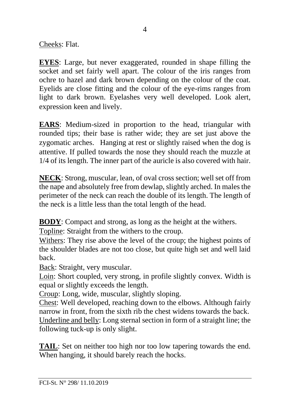Cheeks: Flat.

**EYES**: Large, but never exaggerated, rounded in shape filling the socket and set fairly well apart. The colour of the iris ranges from ochre to hazel and dark brown depending on the colour of the coat. Eyelids are close fitting and the colour of the eye-rims ranges from light to dark brown. Eyelashes very well developed. Look alert, expression keen and lively.

**EARS**: Medium-sized in proportion to the head, triangular with rounded tips; their base is rather wide; they are set just above the zygomatic arches. Hanging at rest or slightly raised when the dog is attentive. If pulled towards the nose they should reach the muzzle at 1/4 of its length. The inner part of the auricle is also covered with hair.

**NECK**: Strong, muscular, lean, of oval cross section; well set off from the nape and absolutely free from dewlap, slightly arched. In males the perimeter of the neck can reach the double of its length. The length of the neck is a little less than the total length of the head.

**BODY**: Compact and strong, as long as the height at the withers.

Topline: Straight from the withers to the croup.

Withers: They rise above the level of the croup; the highest points of the shoulder blades are not too close, but quite high set and well laid back.

Back: Straight, very muscular.

Loin: Short coupled, very strong, in profile slightly convex. Width is equal or slightly exceeds the length.

Croup: Long, wide, muscular, slightly sloping.

Chest: Well developed, reaching down to the elbows. Although fairly narrow in front, from the sixth rib the chest widens towards the back. Underline and belly: Long sternal section in form of a straight line; the following tuck-up is only slight.

**TAIL**: Set on neither too high nor too low tapering towards the end. When hanging, it should barely reach the hocks.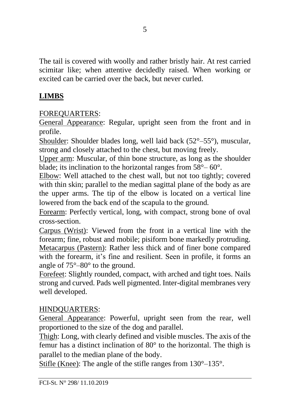The tail is covered with woolly and rather bristly hair. At rest carried scimitar like; when attentive decidedly raised. When working or excited can be carried over the back, but never curled.

# **LIMBS**

## FOREQUARTERS:

General Appearance: Regular, upright seen from the front and in profile.

Shoulder: Shoulder blades long, well laid back (52°–55°), muscular, strong and closely attached to the chest, but moving freely.

Upper arm: Muscular, of thin bone structure, as long as the shoulder blade; its inclination to the horizontal ranges from  $58^{\circ} - 60^{\circ}$ .

Elbow: Well attached to the chest wall, but not too tightly; covered with thin skin; parallel to the median sagittal plane of the body as are the upper arms. The tip of the elbow is located on a vertical line lowered from the back end of the scapula to the ground.

Forearm: Perfectly vertical, long, with compact, strong bone of oval cross-section.

Carpus (Wrist): Viewed from the front in a vertical line with the forearm; fine, robust and mobile; pisiform bone markedly protruding. Metacarpus (Pastern): Rather less thick and of finer bone compared with the forearm, it's fine and resilient. Seen in profile, it forms an angle of 75°–80° to the ground.

Forefeet: Slightly rounded, compact, with arched and tight toes. Nails strong and curved. Pads well pigmented. Inter-digital membranes very well developed.

## HINDQUARTERS:

General Appearance: Powerful, upright seen from the rear, well proportioned to the size of the dog and parallel.

Thigh: Long, with clearly defined and visible muscles. The axis of the femur has a distinct inclination of 80° to the horizontal. The thigh is parallel to the median plane of the body.

Stifle (Knee): The angle of the stifle ranges from 130°–135°.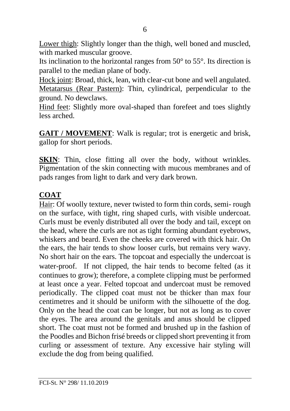Lower thigh: Slightly longer than the thigh, well boned and muscled, with marked muscular groove.

Its inclination to the horizontal ranges from  $50^{\circ}$  to  $55^{\circ}$ . Its direction is parallel to the median plane of body.

Hock ioint: Broad, thick, lean, with clear-cut bone and well angulated. Metatarsus (Rear Pastern): Thin, cylindrical, perpendicular to the ground. No dewclaws.

Hind feet: Slightly more oval-shaped than forefeet and toes slightly less arched.

**GAIT / MOVEMENT**: Walk is regular; trot is energetic and brisk, gallop for short periods.

**SKIN**: Thin, close fitting all over the body, without wrinkles. Pigmentation of the skin connecting with mucous membranes and of pads ranges from light to dark and very dark brown.

## **COAT**

Hair: Of woolly texture, never twisted to form thin cords, semi- rough on the surface, with tight, ring shaped curls, with visible undercoat. Curls must be evenly distributed all over the body and tail, except on the head, where the curls are not as tight forming abundant eyebrows, whiskers and beard. Even the cheeks are covered with thick hair. On the ears, the hair tends to show looser curls, but remains very wavy. No short hair on the ears. The topcoat and especially the undercoat is water-proof. If not clipped, the hair tends to become felted (as it continues to grow); therefore, a complete clipping must be performed at least once a year. Felted topcoat and undercoat must be removed periodically. The clipped coat must not be thicker than max four centimetres and it should be uniform with the silhouette of the dog. Only on the head the coat can be longer, but not as long as to cover the eyes. The area around the genitals and anus should be clipped short. The coat must not be formed and brushed up in the fashion of the Poodles and Bichon frisé breeds or clipped short preventing it from curling or assessment of texture. Any excessive hair styling will exclude the dog from being qualified.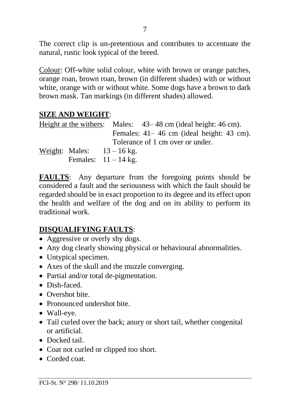The correct clip is un-pretentious and contributes to accentuate the natural, rustic look typical of the breed.

Colour: Off-white solid colour, white with brown or orange patches, orange roan, brown roan, brown (in different shades) with or without white, orange with or without white. Some dogs have a brown to dark brown mask. Tan markings (in different shades) allowed.

### **SIZE AND WEIGHT**:

|  |                            |                                              | Height at the withers: Males: $43-48$ cm (ideal height: 46 cm). |  |  |  |  |
|--|----------------------------|----------------------------------------------|-----------------------------------------------------------------|--|--|--|--|
|  |                            | Females: $41-46$ cm (ideal height: $43$ cm). |                                                                 |  |  |  |  |
|  |                            | Tolerance of 1 cm over or under.             |                                                                 |  |  |  |  |
|  | Weight: Males: $13-16$ kg. |                                              |                                                                 |  |  |  |  |
|  | Females: $11 - 14$ kg.     |                                              |                                                                 |  |  |  |  |

**FAULTS**: Any departure from the foregoing points should be considered a fault and the seriousness with which the fault should be regarded should be in exact proportion to its degree and its effect upon the health and welfare of the dog and on its ability to perform its traditional work.

## **DISQUALIFYING FAULTS**:

- Aggressive or overly shy dogs.
- Any dog clearly showing physical or behavioural abnormalities.
- Untypical specimen.
- Axes of the skull and the muzzle converging.
- Partial and/or total de-pigmentation.
- Dish-faced.
- Overshot bite
- Pronounced undershot bite.
- Wall-eye.
- Tail curled over the back; anury or short tail, whether congenital or artificial.
- Docked tail
- Coat not curled or clipped too short.
- Corded coat.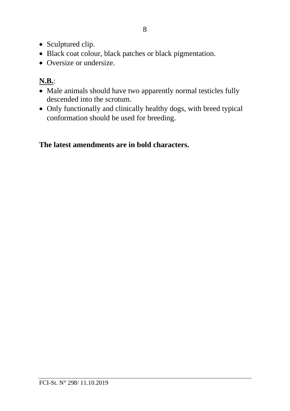- Sculptured clip.
- Black coat colour, black patches or black pigmentation.
- Oversize or undersize.

# **N.B.**:

- Male animals should have two apparently normal testicles fully descended into the scrotum.
- Only functionally and clinically healthy dogs, with breed typical conformation should be used for breeding.

# **The latest amendments are in bold characters.**